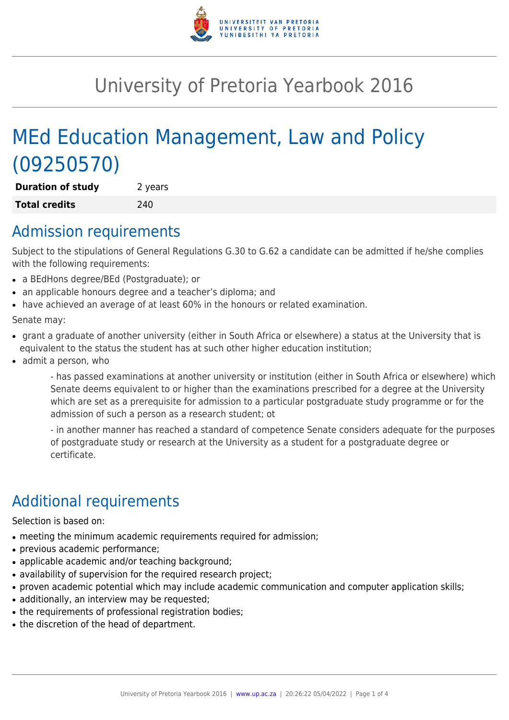

# University of Pretoria Yearbook 2016

# MEd Education Management, Law and Policy (09250570)

**Duration of study** 2 years **Total credits** 240

### Admission requirements

Subject to the stipulations of General Regulations G.30 to G.62 a candidate can be admitted if he/she complies with the following requirements:

- a BEdHons degree/BEd (Postgraduate); or
- an applicable honours degree and a teacher's diploma; and
- have achieved an average of at least 60% in the honours or related examination.

Senate may:

- grant a graduate of another university (either in South Africa or elsewhere) a status at the University that is equivalent to the status the student has at such other higher education institution;
- admit a person, who

- has passed examinations at another university or institution (either in South Africa or elsewhere) which Senate deems equivalent to or higher than the examinations prescribed for a degree at the University which are set as a prerequisite for admission to a particular postgraduate study programme or for the admission of such a person as a research student; ot

- in another manner has reached a standard of competence Senate considers adequate for the purposes of postgraduate study or research at the University as a student for a postgraduate degree or certificate.

# Additional requirements

Selection is based on:

- meeting the minimum academic requirements required for admission;
- previous academic performance;
- applicable academic and/or teaching background;
- availability of supervision for the required research project;
- proven academic potential which may include academic communication and computer application skills;
- additionally, an interview may be requested;
- the requirements of professional registration bodies;
- the discretion of the head of department.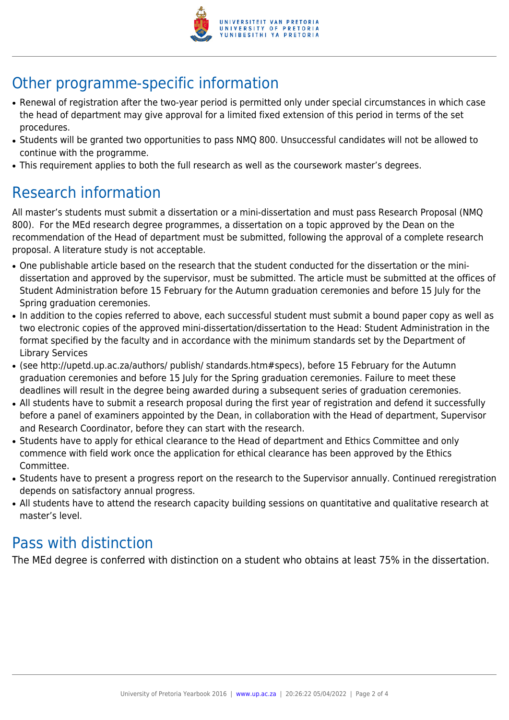

# Other programme-specific information

- Renewal of registration after the two-year period is permitted only under special circumstances in which case the head of department may give approval for a limited fixed extension of this period in terms of the set procedures.
- Students will be granted two opportunities to pass NMQ 800. Unsuccessful candidates will not be allowed to continue with the programme.
- This requirement applies to both the full research as well as the coursework master's degrees.

## Research information

All master's students must submit a dissertation or a mini-dissertation and must pass Research Proposal (NMQ 800). For the MEd research degree programmes, a dissertation on a topic approved by the Dean on the recommendation of the Head of department must be submitted, following the approval of a complete research proposal. A literature study is not acceptable.

- One publishable article based on the research that the student conducted for the dissertation or the minidissertation and approved by the supervisor, must be submitted. The article must be submitted at the offices of Student Administration before 15 February for the Autumn graduation ceremonies and before 15 July for the Spring graduation ceremonies.
- In addition to the copies referred to above, each successful student must submit a bound paper copy as well as two electronic copies of the approved mini-dissertation/dissertation to the Head: Student Administration in the format specified by the faculty and in accordance with the minimum standards set by the Department of Library Services
- (see http://upetd.up.ac.za/authors/ publish/ standards.htm#specs), before 15 February for the Autumn graduation ceremonies and before 15 July for the Spring graduation ceremonies. Failure to meet these deadlines will result in the degree being awarded during a subsequent series of graduation ceremonies.
- All students have to submit a research proposal during the first year of registration and defend it successfully before a panel of examiners appointed by the Dean, in collaboration with the Head of department, Supervisor and Research Coordinator, before they can start with the research.
- Students have to apply for ethical clearance to the Head of department and Ethics Committee and only commence with field work once the application for ethical clearance has been approved by the Ethics Committee.
- Students have to present a progress report on the research to the Supervisor annually. Continued reregistration depends on satisfactory annual progress.
- All students have to attend the research capacity building sessions on quantitative and qualitative research at master's level.

#### Pass with distinction

The MEd degree is conferred with distinction on a student who obtains at least 75% in the dissertation.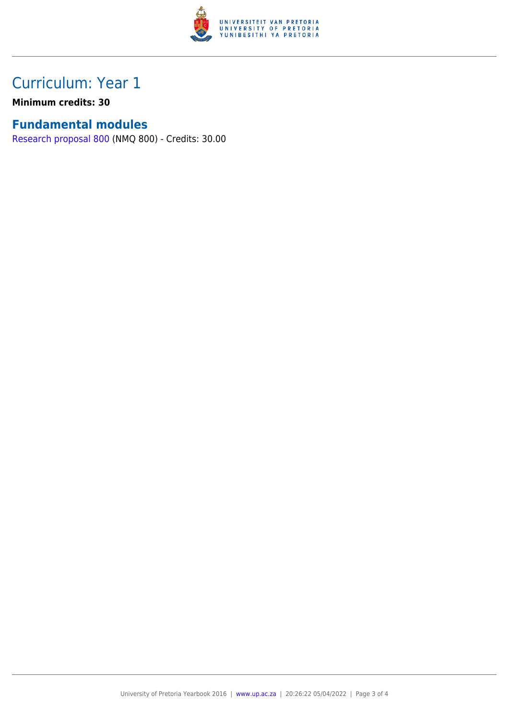

## Curriculum: Year 1

**Minimum credits: 30**

#### **Fundamental modules**

[Research proposal 800](https://www.up.ac.za/mechanical-and-aeronautical-engineering/yearbooks/2016/modules/view/NMQ 800) (NMQ 800) - Credits: 30.00